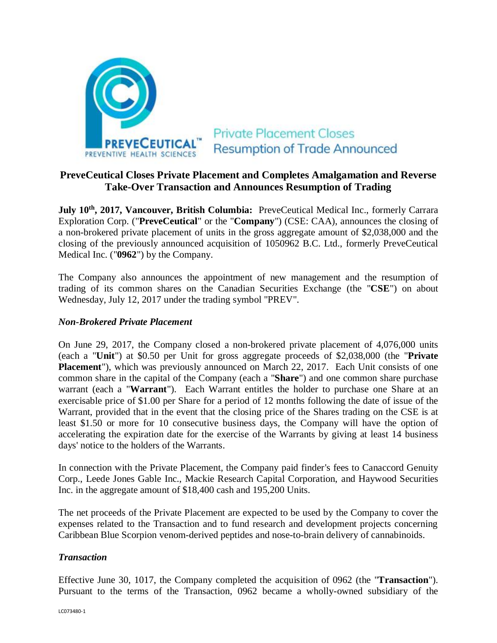

# **PreveCeutical Closes Private Placement and Completes Amalgamation and Reverse Take-Over Transaction and Announces Resumption of Trading**

**July 10th, 2017, Vancouver, British Columbia:** PreveCeutical Medical Inc., formerly Carrara Exploration Corp. ("**PreveCeutical**" or the "**Company**") (CSE: CAA), announces the closing of a non-brokered private placement of units in the gross aggregate amount of \$2,038,000 and the closing of the previously announced acquisition of 1050962 B.C. Ltd., formerly PreveCeutical Medical Inc. ("**0962**") by the Company.

The Company also announces the appointment of new management and the resumption of trading of its common shares on the Canadian Securities Exchange (the "**CSE**") on about Wednesday, July 12, 2017 under the trading symbol "PREV".

# *Non-Brokered Private Placement*

On June 29, 2017, the Company closed a non-brokered private placement of 4,076,000 units (each a "**Unit**") at \$0.50 per Unit for gross aggregate proceeds of \$2,038,000 (the "**Private Placement**"), which was previously announced on March 22, 2017. Each Unit consists of one common share in the capital of the Company (each a "**Share**") and one common share purchase warrant (each a "**Warrant**"). Each Warrant entitles the holder to purchase one Share at an exercisable price of \$1.00 per Share for a period of 12 months following the date of issue of the Warrant, provided that in the event that the closing price of the Shares trading on the CSE is at least \$1.50 or more for 10 consecutive business days, the Company will have the option of accelerating the expiration date for the exercise of the Warrants by giving at least 14 business days' notice to the holders of the Warrants.

In connection with the Private Placement, the Company paid finder's fees to Canaccord Genuity Corp., Leede Jones Gable Inc., Mackie Research Capital Corporation, and Haywood Securities Inc. in the aggregate amount of \$18,400 cash and 195,200 Units.

The net proceeds of the Private Placement are expected to be used by the Company to cover the expenses related to the Transaction and to fund research and development projects concerning Caribbean Blue Scorpion venom-derived peptides and nose-to-brain delivery of cannabinoids.

# *Transaction*

Effective June 30, 1017, the Company completed the acquisition of 0962 (the "**Transaction**"). Pursuant to the terms of the Transaction, 0962 became a wholly-owned subsidiary of the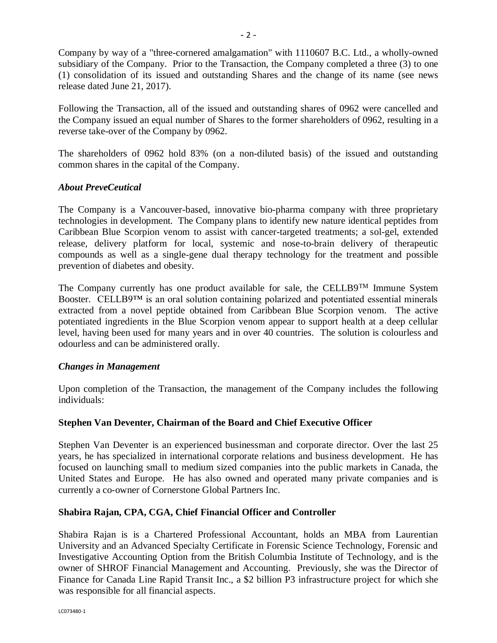Company by way of a "three-cornered amalgamation" with 1110607 B.C. Ltd., a wholly-owned subsidiary of the Company. Prior to the Transaction, the Company completed a three (3) to one (1) consolidation of its issued and outstanding Shares and the change of its name (see news release dated June 21, 2017).

Following the Transaction, all of the issued and outstanding shares of 0962 were cancelled and the Company issued an equal number of Shares to the former shareholders of 0962, resulting in a reverse take-over of the Company by 0962.

The shareholders of 0962 hold 83% (on a non-diluted basis) of the issued and outstanding common shares in the capital of the Company.

# *About PreveCeutical*

The Company is a Vancouver-based, innovative bio-pharma company with three proprietary technologies in development. The Company plans to identify new nature identical peptides from Caribbean Blue Scorpion venom to assist with cancer-targeted treatments; a sol-gel, extended release, delivery platform for local, systemic and nose-to-brain delivery of therapeutic compounds as well as a single-gene dual therapy technology for the treatment and possible prevention of diabetes and obesity.

The Company currently has one product available for sale, the CELLB9<sup>TM</sup> Immune System Booster. CELLB9<sup>TM</sup> is an oral solution containing polarized and potentiated essential minerals extracted from a novel peptide obtained from Caribbean Blue Scorpion venom. The active potentiated ingredients in the Blue Scorpion venom appear to support health at a deep cellular level, having been used for many years and in over 40 countries. The solution is colourless and odourless and can be administered orally.

# *Changes in Management*

Upon completion of the Transaction, the management of the Company includes the following individuals:

# **Stephen Van Deventer, Chairman of the Board and Chief Executive Officer**

Stephen Van Deventer is an experienced businessman and corporate director. Over the last 25 years, he has specialized in international corporate relations and business development. He has focused on launching small to medium sized companies into the public markets in Canada, the United States and Europe. He has also owned and operated many private companies and is currently a co-owner of Cornerstone Global Partners Inc.

# **Shabira Rajan, CPA, CGA, Chief Financial Officer and Controller**

Shabira Rajan is is a Chartered Professional Accountant, holds an MBA from Laurentian University and an Advanced Specialty Certificate in Forensic Science Technology, Forensic and Investigative Accounting Option from the British Columbia Institute of Technology, and is the owner of SHROF Financial Management and Accounting. Previously, she was the Director of Finance for Canada Line Rapid Transit Inc., a \$2 billion P3 infrastructure project for which she was responsible for all financial aspects.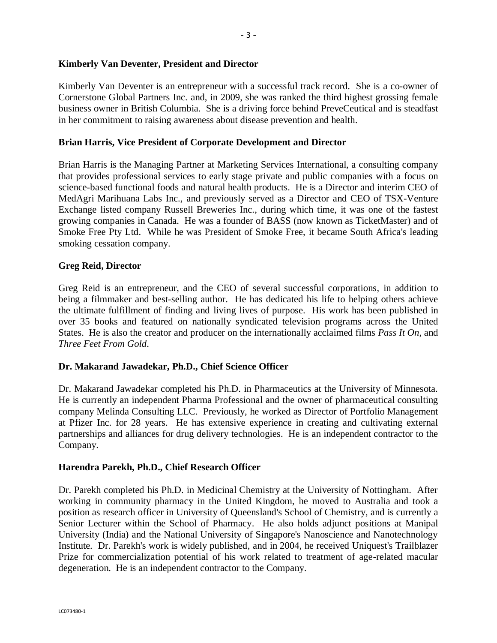Kimberly Van Deventer is an entrepreneur with a successful track record. She is a co-owner of Cornerstone Global Partners Inc. and, in 2009, she was ranked the third highest grossing female business owner in British Columbia. She is a driving force behind PreveCeutical and is steadfast in her commitment to raising awareness about disease prevention and health.

# **Brian Harris, Vice President of Corporate Development and Director**

Brian Harris is the Managing Partner at Marketing Services International, a consulting company that provides professional services to early stage private and public companies with a focus on science-based functional foods and natural health products. He is a Director and interim CEO of MedAgri Marihuana Labs Inc., and previously served as a Director and CEO of TSX-Venture Exchange listed company Russell Breweries Inc., during which time, it was one of the fastest growing companies in Canada. He was a founder of BASS (now known as TicketMaster) and of Smoke Free Pty Ltd. While he was President of Smoke Free, it became South Africa's leading smoking cessation company.

### **Greg Reid, Director**

Greg Reid is an entrepreneur, and the CEO of several successful corporations, in addition to being a filmmaker and best-selling author. He has dedicated his life to helping others achieve the ultimate fulfillment of finding and living lives of purpose. His work has been published in over 35 books and featured on nationally syndicated television programs across the United States. He is also the creator and producer on the internationally acclaimed films *Pass It On*, and *Three Feet From Gold*.

# **Dr. Makarand Jawadekar, Ph.D., Chief Science Officer**

Dr. Makarand Jawadekar completed his Ph.D. in Pharmaceutics at the University of Minnesota. He is currently an independent Pharma Professional and the owner of pharmaceutical consulting company Melinda Consulting LLC. Previously, he worked as Director of Portfolio Management at Pfizer Inc. for 28 years. He has extensive experience in creating and cultivating external partnerships and alliances for drug delivery technologies. He is an independent contractor to the Company.

#### **Harendra Parekh, Ph.D., Chief Research Officer**

Dr. Parekh completed his Ph.D. in Medicinal Chemistry at the University of Nottingham. After working in community pharmacy in the United Kingdom, he moved to Australia and took a position as research officer in University of Queensland's School of Chemistry, and is currently a Senior Lecturer within the School of Pharmacy. He also holds adjunct positions at Manipal University (India) and the National University of Singapore's Nanoscience and Nanotechnology Institute. Dr. Parekh's work is widely published, and in 2004, he received Uniquest's Trailblazer Prize for commercialization potential of his work related to treatment of age-related macular degeneration. He is an independent contractor to the Company.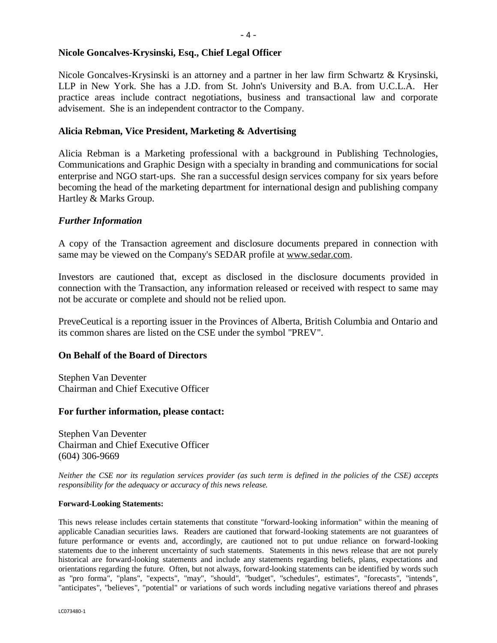Nicole Goncalves-Krysinski is an attorney and a partner in her law firm Schwartz & Krysinski, LLP in New York. She has a J.D. from St. John's University and B.A. from U.C.L.A. Her practice areas include contract negotiations, business and transactional law and corporate advisement. She is an independent contractor to the Company.

#### **Alicia Rebman, Vice President, Marketing & Advertising**

Alicia Rebman is a Marketing professional with a background in Publishing Technologies, Communications and Graphic Design with a specialty in branding and communications for social enterprise and NGO start-ups. She ran a successful design services company for six years before becoming the head of the marketing department for international design and publishing company Hartley & Marks Group.

### *Further Information*

A copy of the Transaction agreement and disclosure documents prepared in connection with same may be viewed on the Company's SEDAR profile at www.sedar.com.

Investors are cautioned that, except as disclosed in the disclosure documents provided in connection with the Transaction, any information released or received with respect to same may not be accurate or complete and should not be relied upon.

PreveCeutical is a reporting issuer in the Provinces of Alberta, British Columbia and Ontario and its common shares are listed on the CSE under the symbol "PREV".

#### **On Behalf of the Board of Directors**

Stephen Van Deventer Chairman and Chief Executive Officer

#### **For further information, please contact:**

Stephen Van Deventer Chairman and Chief Executive Officer (604) 306-9669

*Neither the CSE nor its regulation services provider (as such term is defined in the policies of the CSE) accepts responsibility for the adequacy or accuracy of this news release.*

#### **Forward-Looking Statements:**

This news release includes certain statements that constitute "forward-looking information" within the meaning of applicable Canadian securities laws. Readers are cautioned that forward-looking statements are not guarantees of future performance or events and, accordingly, are cautioned not to put undue reliance on forward-looking statements due to the inherent uncertainty of such statements. Statements in this news release that are not purely historical are forward-looking statements and include any statements regarding beliefs, plans, expectations and orientations regarding the future. Often, but not always, forward-looking statements can be identified by words such as "pro forma", "plans", "expects", "may", "should", "budget", "schedules", estimates", "forecasts", "intends", "anticipates", "believes", "potential" or variations of such words including negative variations thereof and phrases